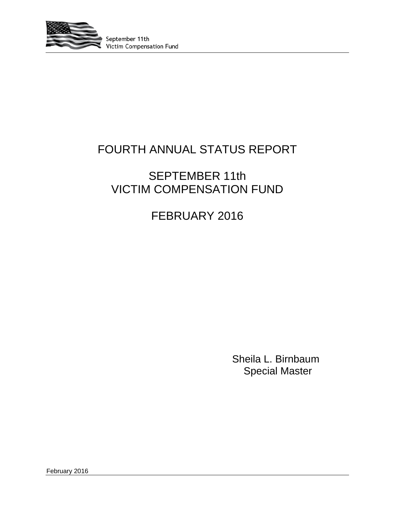

# FOURTH ANNUAL STATUS REPORT

# SEPTEMBER 11th VICTIM COMPENSATION FUND

# FEBRUARY 2016

Sheila L. Birnbaum Special Master

February 2016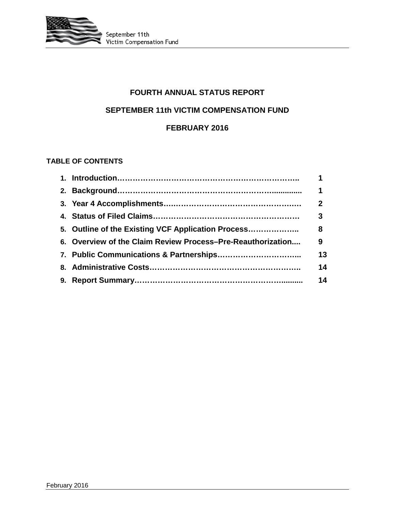

# **FOURTH ANNUAL STATUS REPORT**

### **SEPTEMBER 11th VICTIM COMPENSATION FUND**

### **FEBRUARY 2016**

### **TABLE OF CONTENTS**

|                                                             | 1           |
|-------------------------------------------------------------|-------------|
|                                                             | 1           |
|                                                             | $\mathbf 2$ |
|                                                             | 3           |
|                                                             |             |
| 6. Overview of the Claim Review Process-Pre-Reauthorization | 9           |
|                                                             | 13          |
|                                                             | 14          |
|                                                             | 14          |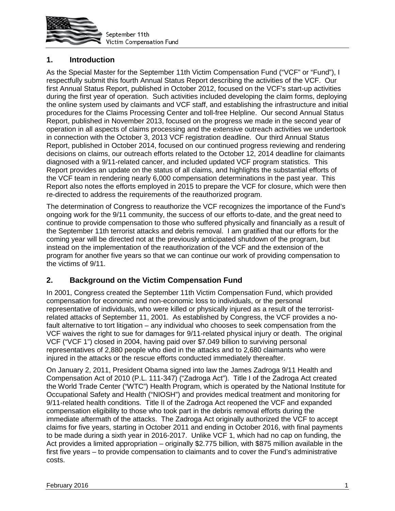

### **1. Introduction**

As the Special Master for the September 11th Victim Compensation Fund ("VCF" or "Fund"), I respectfully submit this fourth Annual Status Report describing the activities of the VCF. Our first Annual Status Report, published in October 2012, focused on the VCF's start-up activities during the first year of operation. Such activities included developing the claim forms, deploying the online system used by claimants and VCF staff, and establishing the infrastructure and initial procedures for the Claims Processing Center and toll-free Helpline. Our second Annual Status Report, published in November 2013, focused on the progress we made in the second year of operation in all aspects of claims processing and the extensive outreach activities we undertook in connection with the October 3, 2013 VCF registration deadline. Our third Annual Status Report, published in October 2014, focused on our continued progress reviewing and rendering decisions on claims, our outreach efforts related to the October 12, 2014 deadline for claimants diagnosed with a 9/11-related cancer, and included updated VCF program statistics. This Report provides an update on the status of all claims, and highlights the substantial efforts of the VCF team in rendering nearly 6,000 compensation determinations in the past year. This Report also notes the efforts employed in 2015 to prepare the VCF for closure, which were then re-directed to address the requirements of the reauthorized program.

The determination of Congress to reauthorize the VCF recognizes the importance of the Fund's ongoing work for the 9/11 community, the success of our efforts to-date, and the great need to continue to provide compensation to those who suffered physically and financially as a result of the September 11th terrorist attacks and debris removal. I am gratified that our efforts for the coming year will be directed not at the previously anticipated shutdown of the program, but instead on the implementation of the reauthorization of the VCF and the extension of the program for another five years so that we can continue our work of providing compensation to the victims of 9/11.

## **2. Background on the Victim Compensation Fund**

In 2001, Congress created the September 11th Victim Compensation Fund, which provided compensation for economic and non-economic loss to individuals, or the personal representative of individuals, who were killed or physically injured as a result of the terroristrelated attacks of September 11, 2001. As established by Congress, the VCF provides a nofault alternative to tort litigation – any individual who chooses to seek compensation from the VCF waives the right to sue for damages for 9/11-related physical injury or death. The original VCF ("VCF 1") closed in 2004, having paid over \$7.049 billion to surviving personal representatives of 2,880 people who died in the attacks and to 2,680 claimants who were injured in the attacks or the rescue efforts conducted immediately thereafter.

On January 2, 2011, President Obama signed into law the James Zadroga 9/11 Health and Compensation Act of 2010 (P.L. 111-347) ("Zadroga Act"). Title I of the Zadroga Act created the World Trade Center ("WTC") Health Program, which is operated by the National Institute for Occupational Safety and Health ("NIOSH") and provides medical treatment and monitoring for 9/11-related health conditions. Title II of the Zadroga Act reopened the VCF and expanded compensation eligibility to those who took part in the debris removal efforts during the immediate aftermath of the attacks. The Zadroga Act originally authorized the VCF to accept claims for five years, starting in October 2011 and ending in October 2016, with final payments to be made during a sixth year in 2016-2017. Unlike VCF 1, which had no cap on funding, the Act provides a limited appropriation – originally \$2.775 billion, with \$875 million available in the first five years – to provide compensation to claimants and to cover the Fund's administrative costs.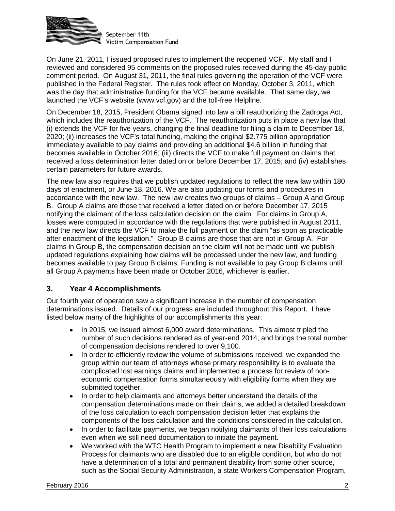

On June 21, 2011, I issued proposed rules to implement the reopened VCF. My staff and I reviewed and considered 95 comments on the proposed rules received during the 45-day public comment period. On August 31, 2011, the final rules governing the operation of the VCF were published in the Federal Register. The rules took effect on Monday, October 3, 2011, which was the day that administrative funding for the VCF became available. That same day, we launched the VCF's website (www.vcf.gov) and the toll-free Helpline.

On December 18, 2015, President Obama signed into law a bill reauthorizing the Zadroga Act, which includes the reauthorization of the VCF. The reauthorization puts in place a new law that (i) extends the VCF for five years, changing the final deadline for filing a claim to December 18, 2020; (ii) increases the VCF's total funding, making the original \$2.775 billion appropriation immediately available to pay claims and providing an additional \$4.6 billion in funding that becomes available in October 2016; (iii) directs the VCF to make full payment on claims that received a loss determination letter dated on or before December 17, 2015; and (iv) establishes certain parameters for future awards.

The new law also requires that we publish updated regulations to reflect the new law within 180 days of enactment, or June 18, 2016. We are also updating our forms and procedures in accordance with the new law. The new law creates two groups of claims – Group A and Group B. Group A claims are those that received a letter dated on or before December 17, 2015 notifying the claimant of the loss calculation decision on the claim. For claims in Group A, losses were computed in accordance with the regulations that were published in August 2011, and the new law directs the VCF to make the full payment on the claim "as soon as practicable after enactment of the legislation." Group B claims are those that are not in Group A. For claims in Group B, the compensation decision on the claim will not be made until we publish updated regulations explaining how claims will be processed under the new law, and funding becomes available to pay Group B claims. Funding is not available to pay Group B claims until all Group A payments have been made or October 2016, whichever is earlier.

### **3. Year 4 Accomplishments**

Our fourth year of operation saw a significant increase in the number of compensation determinations issued. Details of our progress are included throughout this Report. I have listed below many of the highlights of our accomplishments this year:

- In 2015, we issued almost 6,000 award determinations. This almost tripled the number of such decisions rendered as of year-end 2014, and brings the total number of compensation decisions rendered to over 9,100.
- In order to efficiently review the volume of submissions received, we expanded the group within our team of attorneys whose primary responsibility is to evaluate the complicated lost earnings claims and implemented a process for review of noneconomic compensation forms simultaneously with eligibility forms when they are submitted together.
- In order to help claimants and attorneys better understand the details of the compensation determinations made on their claims, we added a detailed breakdown of the loss calculation to each compensation decision letter that explains the components of the loss calculation and the conditions considered in the calculation.
- In order to facilitate payments, we began notifying claimants of their loss calculations even when we still need documentation to initiate the payment.
- We worked with the WTC Health Program to implement a new Disability Evaluation Process for claimants who are disabled due to an eligible condition, but who do not have a determination of a total and permanent disability from some other source, such as the Social Security Administration, a state Workers Compensation Program,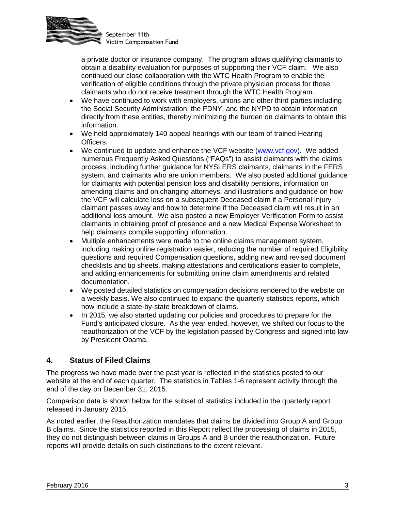

a private doctor or insurance company. The program allows qualifying claimants to obtain a disability evaluation for purposes of supporting their VCF claim. We also continued our close collaboration with the WTC Health Program to enable the verification of eligible conditions through the private physician process for those claimants who do not receive treatment through the WTC Health Program.

- We have continued to work with employers, unions and other third parties including the Social Security Administration, the FDNY, and the NYPD to obtain information directly from these entities, thereby minimizing the burden on claimants to obtain this information.
- We held approximately 140 appeal hearings with our team of trained Hearing Officers.
- We continued to update and enhance the VCF website (www.vcf.gov). We added numerous Frequently Asked Questions ("FAQs") to assist claimants with the claims process, including further guidance for NYSLERS claimants, claimants in the FERS system, and claimants who are union members. We also posted additional guidance for claimants with potential pension loss and disability pensions, information on amending claims and on changing attorneys, and illustrations and guidance on how the VCF will calculate loss on a subsequent Deceased claim if a Personal Injury claimant passes away and how to determine if the Deceased claim will result in an additional loss amount. We also posted a new Employer Verification Form to assist claimants in obtaining proof of presence and a new Medical Expense Worksheet to help claimants compile supporting information.
- Multiple enhancements were made to the online claims management system, including making online registration easier, reducing the number of required Eligibility questions and required Compensation questions, adding new and revised document checklists and tip sheets, making attestations and certifications easier to complete, and adding enhancements for submitting online claim amendments and related documentation.
- We posted detailed statistics on compensation decisions rendered to the website on a weekly basis. We also continued to expand the quarterly statistics reports, which now include a state-by-state breakdown of claims.
- In 2015, we also started updating our policies and procedures to prepare for the Fund's anticipated closure. As the year ended, however, we shifted our focus to the reauthorization of the VCF by the legislation passed by Congress and signed into law by President Obama.

### **4. Status of Filed Claims**

The progress we have made over the past year is reflected in the statistics posted to our website at the end of each quarter. The statistics in Tables 1-6 represent activity through the end of the day on December 31, 2015.

Comparison data is shown below for the subset of statistics included in the quarterly report released in January 2015.

As noted earlier, the Reauthorization mandates that claims be divided into Group A and Group B claims. Since the statistics reported in this Report reflect the processing of claims in 2015, they do not distinguish between claims in Groups A and B under the reauthorization. Future reports will provide details on such distinctions to the extent relevant.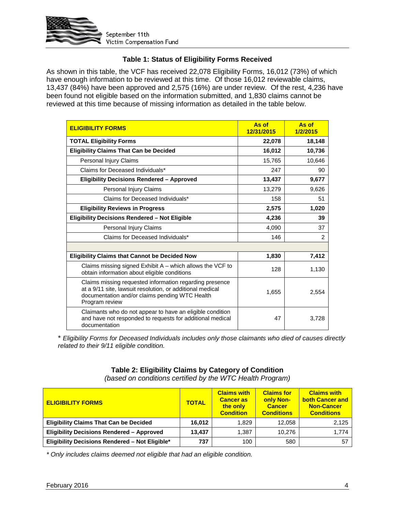

### **Table 1: Status of Eligibility Forms Received**

As shown in this table, the VCF has received 22,078 Eligibility Forms, 16,012 (73%) of which have enough information to be reviewed at this time. Of those 16,012 reviewable claims, 13,437 (84%) have been approved and 2,575 (16%) are under review. Of the rest, 4,236 have been found not eligible based on the information submitted, and 1,830 claims cannot be reviewed at this time because of missing information as detailed in the table below.

| <b>ELIGIBILITY FORMS</b>                                                                                                                                                                 | As of<br>12/31/2015 | As of<br>1/2/2015 |
|------------------------------------------------------------------------------------------------------------------------------------------------------------------------------------------|---------------------|-------------------|
| <b>TOTAL Eligibility Forms</b>                                                                                                                                                           | 22,078              | 18,148            |
| <b>Eligibility Claims That Can be Decided</b>                                                                                                                                            | 16,012              | 10,736            |
| Personal Injury Claims                                                                                                                                                                   | 15,765              | 10,646            |
| Claims for Deceased Individuals*                                                                                                                                                         | 247                 | 90                |
| <b>Eligibility Decisions Rendered - Approved</b>                                                                                                                                         | 13,437              | 9,677             |
| Personal Injury Claims                                                                                                                                                                   | 13,279              | 9,626             |
| Claims for Deceased Individuals*                                                                                                                                                         | 158                 | 51                |
| <b>Eligibility Reviews in Progress</b>                                                                                                                                                   | 2,575               | 1,020             |
| <b>Eligibility Decisions Rendered - Not Eligible</b>                                                                                                                                     | 4,236               | 39                |
| Personal Injury Claims                                                                                                                                                                   | 4,090               | 37                |
| Claims for Deceased Individuals*                                                                                                                                                         | 146                 | $\overline{2}$    |
|                                                                                                                                                                                          |                     |                   |
| <b>Eligibility Claims that Cannot be Decided Now</b>                                                                                                                                     | 1,830               | 7,412             |
| Claims missing signed Exhibit $A$ – which allows the VCF to<br>obtain information about eligible conditions                                                                              | 128                 | 1,130             |
| Claims missing requested information regarding presence<br>at a 9/11 site, lawsuit resolution, or additional medical<br>documentation and/or claims pending WTC Health<br>Program review | 1,655               | 2,554             |
| Claimants who do not appear to have an eligible condition<br>and have not responded to requests for additional medical<br>documentation                                                  | 47                  | 3,728             |

\* *Eligibility Forms for Deceased Individuals includes only those claimants who died of causes directly related to their 9/11 eligible condition.*

## **Table 2: Eligibility Claims by Category of Condition**

*(based on conditions certified by the WTC Health Program)*

| <b>ELIGIBILITY FORMS</b>                         | <b>TOTAL</b> | <b>Claims with</b><br><b>Cancer as</b><br>the only<br><b>Condition</b> | <b>Claims for</b><br>only Non-<br><b>Cancer</b><br><b>Conditions</b> | <b>Claims with</b><br><b>both Cancer and</b><br><b>Non-Cancer</b><br><b>Conditions</b> |
|--------------------------------------------------|--------------|------------------------------------------------------------------------|----------------------------------------------------------------------|----------------------------------------------------------------------------------------|
| <b>Eligibility Claims That Can be Decided</b>    | 16,012       | 1.829                                                                  | 12.058                                                               | 2,125                                                                                  |
| <b>Eligibility Decisions Rendered - Approved</b> | 13.437       | 1.387                                                                  | 10.276                                                               | 1,774                                                                                  |
| Eligibility Decisions Rendered - Not Eligible*   | 737          | 100                                                                    | 580                                                                  | 57                                                                                     |

*\* Only includes claims deemed not eligible that had an eligible condition.*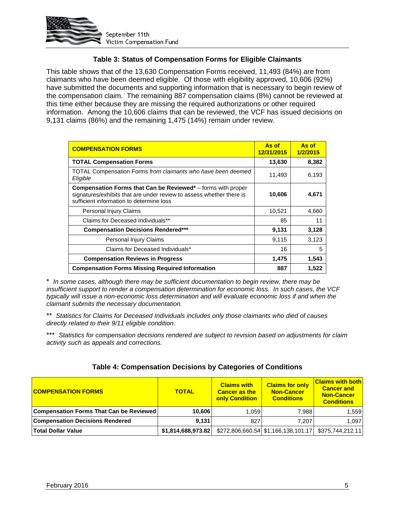

### **Table 3: Status of Compensation Forms for Eligible Claimants**

This table shows that of the 13,630 Compensation Forms received, 11,493 (84%) are from claimants who have been deemed eligible. Of those with eligibility approved, 10,606 (92%) have submitted the documents and supporting information that is necessary to begin review of the compensation claim. The remaining 887 compensation claims (8%) cannot be reviewed at this time either because they are missing the required authorizations or other required information. Among the 10,606 claims that can be reviewed, the VCF has issued decisions on 9,131 claims (86%) and the remaining 1,475 (14%) remain under review.

| <b>COMPENSATION FORMS</b>                                                                                                                                                               | As of<br>12/31/2015 | As of<br>1/2/2015 |
|-----------------------------------------------------------------------------------------------------------------------------------------------------------------------------------------|---------------------|-------------------|
| <b>TOTAL Compensation Forms</b>                                                                                                                                                         | 13,630              | 8,382             |
| TOTAL Compensation Forms from claimants who have been deemed<br>Eligible                                                                                                                | 11,493              | 6,193             |
| <b>Compensation Forms that Can be Reviewed*</b> – forms with proper<br>signatures/exhibits that are under review to assess whether there is<br>sufficient information to determine loss | 10,606              | 4,671             |
| Personal Injury Claims                                                                                                                                                                  | 10,521              | 4,660             |
| Claims for Deceased Individuals**                                                                                                                                                       | 85                  | 11                |
| <b>Compensation Decisions Rendered***</b>                                                                                                                                               | 9,131               | 3,128             |
| Personal Injury Claims                                                                                                                                                                  | 9,115               | 3,123             |
| Claims for Deceased Individuals*                                                                                                                                                        | 16                  | 5                 |
| <b>Compensation Reviews in Progress</b>                                                                                                                                                 | 1,475               | 1,543             |
| <b>Compensation Forms Missing Required Information</b>                                                                                                                                  | 887                 | 1,522             |

\* *In some cases, although there may be sufficient documentation to begin review, there may be insufficient support to render a compensation determination for economic loss. In such cases, the VCF typically will issue a non-economic loss determination and will evaluate economic loss if and when the claimant submits the necessary documentation.*

\*\* *Statistics for Claims for Deceased Individuals includes only those claimants who died of causes directly related to their 9/11 eligible condition.*

\*\*\* *Statistics for compensation decisions rendered are subject to revision based on adjustments for claim activity such as appeals and corrections.*

| Table 4: Compensation Decisions by Categories of Conditions |  |
|-------------------------------------------------------------|--|
|                                                             |  |

| <b>COMPENSATION FORMS</b>               | <b>TOTAL</b>       | <b>Claims with</b><br><b>Cancer as the</b><br>only Condition | <b>Claims for only</b><br><b>Non-Cancer</b><br><b>Conditions</b> | <b>Claims with both</b><br><b>Cancer and</b><br><b>Non-Cancer</b><br><b>Conditions</b> |
|-----------------------------------------|--------------------|--------------------------------------------------------------|------------------------------------------------------------------|----------------------------------------------------------------------------------------|
| Compensation Forms That Can be Reviewed | 10.606             | ا 059. ا                                                     | 7.988                                                            | 1.559                                                                                  |
| <b>Compensation Decisions Rendered</b>  | 9.131              | 827                                                          | 7.207                                                            | 1.097                                                                                  |
| <b>Total Dollar Value</b>               | \$1,814,688,973.82 |                                                              | $$272,806,660.54$ \\$1,166,138,101.17 \\$375,744,212.11          |                                                                                        |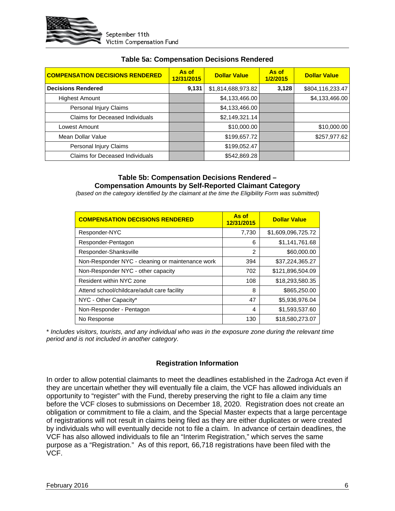

| <b>COMPENSATION DECISIONS RENDERED</b> | As of<br>12/31/2015 | <b>Dollar Value</b> | As of<br>1/2/2015 | <b>Dollar Value</b> |
|----------------------------------------|---------------------|---------------------|-------------------|---------------------|
| <b>Decisions Rendered</b>              | 9,131               | \$1,814,688,973.82  | 3,128             | \$804,116,233.47    |
| <b>Highest Amount</b>                  |                     | \$4,133,466.00      |                   | \$4,133,466.00      |
| Personal Injury Claims                 |                     | \$4,133,466.00      |                   |                     |
| <b>Claims for Deceased Individuals</b> |                     | \$2,149,321.14      |                   |                     |
| Lowest Amount                          |                     | \$10,000.00         |                   | \$10,000.00         |
| Mean Dollar Value                      |                     | \$199,657.72        |                   | \$257,977.62        |
| Personal Injury Claims                 |                     | \$199,052.47        |                   |                     |
| Claims for Deceased Individuals        |                     | \$542,869.28        |                   |                     |

#### **Table 5a: Compensation Decisions Rendered**

#### **Table 5b: Compensation Decisions Rendered – Compensation Amounts by Self-Reported Claimant Category**

*(based on the category identified by the claimant at the time the Eligibility Form was submitted)*

| <b>COMPENSATION DECISIONS RENDERED</b>           | As of<br>12/31/2015 | <b>Dollar Value</b> |
|--------------------------------------------------|---------------------|---------------------|
| Responder-NYC                                    | 7,730               | \$1,609,096,725.72  |
| Responder-Pentagon                               | 6                   | \$1,141,761.68      |
| Responder-Shanksville                            | $\mathcal{P}$       | \$60,000.00         |
| Non-Responder NYC - cleaning or maintenance work | 394                 | \$37,224,365.27     |
| Non-Responder NYC - other capacity               | 702                 | \$121,896,504.09    |
| Resident within NYC zone                         | 108                 | \$18,293,580.35     |
| Attend school/childcare/adult care facility      | 8                   | \$865,250.00        |
| NYC - Other Capacity*                            | 47                  | \$5,936,976.04      |
| Non-Responder - Pentagon                         | 4                   | \$1,593,537.60      |
| No Response                                      | 130                 | \$18,580,273,07     |

\* *Includes visitors, tourists, and any individual who was in the exposure zone during the relevant time period and is not included in another category.*

#### **Registration Information**

In order to allow potential claimants to meet the deadlines established in the Zadroga Act even if they are uncertain whether they will eventually file a claim, the VCF has allowed individuals an opportunity to "register" with the Fund, thereby preserving the right to file a claim any time before the VCF closes to submissions on December 18, 2020. Registration does not create an obligation or commitment to file a claim, and the Special Master expects that a large percentage of registrations will not result in claims being filed as they are either duplicates or were created by individuals who will eventually decide not to file a claim. In advance of certain deadlines, the VCF has also allowed individuals to file an "Interim Registration," which serves the same purpose as a "Registration." As of this report, 66,718 registrations have been filed with the VCF.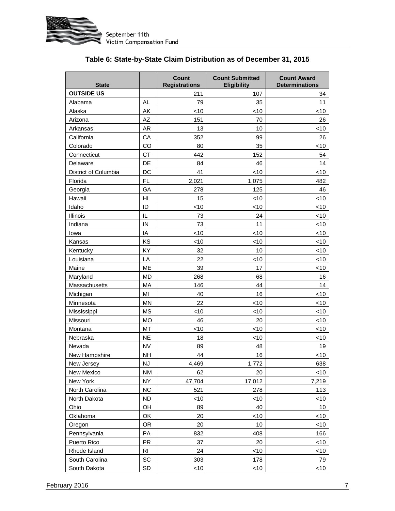

| <b>State</b>         |                | Count<br><b>Registrations</b> | <b>Count Submitted</b><br><b>Eligibility</b> | <b>Count Award</b><br><b>Determinations</b> |
|----------------------|----------------|-------------------------------|----------------------------------------------|---------------------------------------------|
| <b>OUTSIDE US</b>    |                | 211                           | 107                                          | 34                                          |
| Alabama              | AL             | 79                            | 35                                           | 11                                          |
| Alaska               | AK             | < 10                          | <10                                          | <10                                         |
| Arizona              | AZ             | 151                           | 70                                           | 26                                          |
| Arkansas             | <b>AR</b>      | 13                            | 10                                           | <10                                         |
| California           | CA             | 352                           | 99                                           | 26                                          |
| Colorado             | CO             | 80                            | 35                                           | <10                                         |
| Connecticut          | <b>CT</b>      | 442                           | 152                                          | 54                                          |
| Delaware             | DE             | 84                            | 46                                           | 14                                          |
| District of Columbia | DC             | 41                            | $<$ 10                                       | $<$ 10                                      |
| Florida              | <b>FL</b>      | 2,021                         | 1,075                                        | 482                                         |
| Georgia              | GA             | 278                           | 125                                          | 46                                          |
| Hawaii               | H <sub>l</sub> | 15                            | <10                                          | $<$ 10                                      |
| Idaho                | ID             | <10                           | $<$ 10                                       | <10                                         |
| Illinois             | IL             | 73                            | 24                                           | <10                                         |
| Indiana              | IN             | 73                            | 11                                           | $<$ 10                                      |
| lowa                 | IA             | <10                           | $<$ 10                                       | ~10                                         |
| Kansas               | KS             | $<$ 10                        | $<$ 10                                       | $<$ 10                                      |
| Kentucky             | KY             | 32                            | 10                                           | <10                                         |
| Louisiana            | LA             | 22                            | $<$ 10                                       | $<$ 10                                      |
| Maine                | <b>ME</b>      | 39                            | 17                                           | $<$ 10                                      |
| Maryland             | <b>MD</b>      | 268                           | 68                                           | 16                                          |
| Massachusetts        | MA             | 146                           | 44                                           | 14                                          |
| Michigan             | MI             | 40                            | 16                                           | <10                                         |
| Minnesota            | <b>MN</b>      | 22                            | $<$ 10                                       | ~10                                         |
| Mississippi          | <b>MS</b>      | $<$ 10                        | $<$ 10                                       | <10                                         |
| Missouri             | <b>MO</b>      | 46                            | 20                                           | < 10                                        |
| Montana              | MT             | <10                           | <10                                          | $<$ 10                                      |
| Nebraska             | <b>NE</b>      | 18                            | <10                                          | $<$ 10                                      |
| Nevada               | <b>NV</b>      | 89                            | 48                                           | 19                                          |
| New Hampshire        | <b>NH</b>      | 44                            | 16                                           | $<$ 10                                      |
| New Jersey           | <b>NJ</b>      | 4,469                         | 1,772                                        | 638                                         |
| New Mexico           | <b>NM</b>      | 62                            | 20                                           | $<$ 10                                      |
| New York             | <b>NY</b>      | 47,704                        | 17,012                                       | 7,219                                       |
| North Carolina       | NC             | 521                           | 278                                          | 113                                         |
| North Dakota         | <b>ND</b>      | ~10                           | $<$ 10                                       | $<$ 10                                      |
| Ohio                 | OH             | 89                            | 40                                           | 10                                          |
| Oklahoma             | OK             | 20                            | ~10                                          | <10                                         |
| Oregon               | <b>OR</b>      | 20                            | 10                                           | $<$ 10                                      |
| Pennsylvania         | PA             | 832                           | 408                                          | 166                                         |
| Puerto Rico          | PR             | 37                            | 20                                           | <10                                         |
| Rhode Island         | R <sub>l</sub> | 24                            | ~10                                          | <10                                         |
| South Carolina       | $\sf SC$       | 303                           | 178                                          | 79                                          |
| South Dakota         | SD             | $<$ 10                        | ~10                                          | $<$ 10                                      |

## **Table 6: State-by-State Claim Distribution as of December 31, 2015**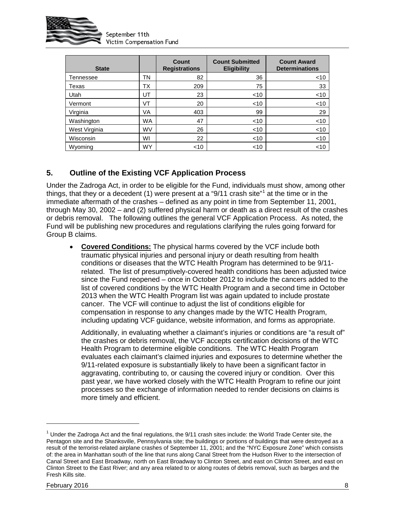

September 11th Victim Compensation Fund

| <b>State</b>  |           | Count<br><b>Registrations</b> | <b>Count Submitted</b><br><b>Eligibility</b> | <b>Count Award</b><br><b>Determinations</b> |
|---------------|-----------|-------------------------------|----------------------------------------------|---------------------------------------------|
| Tennessee     | TN        | 82                            | 36                                           | $<$ 10                                      |
| Texas         | ТX        | 209                           | 75                                           | 33                                          |
| Utah          | UT        | 23                            | $<$ 10                                       | $<$ 10                                      |
| Vermont       | VT        | 20                            | ~10                                          | $<$ 10                                      |
| Virginia      | VA        | 403                           | 99                                           | 29                                          |
| Washington    | <b>WA</b> | 47                            | $<$ 10                                       | $<$ 10                                      |
| West Virginia | <b>WV</b> | 26                            | $<$ 10                                       | < 10                                        |
| Wisconsin     | WI        | 22                            | $<$ 10                                       | $<$ 10                                      |
| Wyoming       | <b>WY</b> | ~10                           | $<$ 10                                       | $<$ 10                                      |

# **5. Outline of the Existing VCF Application Process**

Under the Zadroga Act, in order to be eligible for the Fund, individuals must show, among other things, that they or a decedent ([1](#page-9-0)) were present at a "9/11 crash site"<sup>1</sup> at the time or in the immediate aftermath of the crashes – defined as any point in time from September 11, 2001, through May 30, 2002 – and (2) suffered physical harm or death as a direct result of the crashes or debris removal. The following outlines the general VCF Application Process. As noted, the Fund will be publishing new procedures and regulations clarifying the rules going forward for Group B claims.

• **Covered Conditions:** The physical harms covered by the VCF include both traumatic physical injuries and personal injury or death resulting from health conditions or diseases that the WTC Health Program has determined to be 9/11 related. The list of presumptively-covered health conditions has been adjusted twice since the Fund reopened – once in October 2012 to include the cancers added to the list of covered conditions by the WTC Health Program and a second time in October 2013 when the WTC Health Program list was again updated to include prostate cancer. The VCF will continue to adjust the list of conditions eligible for compensation in response to any changes made by the WTC Health Program, including updating VCF guidance, website information, and forms as appropriate.

Additionally, in evaluating whether a claimant's injuries or conditions are "a result of" the crashes or debris removal, the VCF accepts certification decisions of the WTC Health Program to determine eligible conditions. The WTC Health Program evaluates each claimant's claimed injuries and exposures to determine whether the 9/11-related exposure is substantially likely to have been a significant factor in aggravating, contributing to, or causing the covered injury or condition. Over this past year, we have worked closely with the WTC Health Program to refine our joint processes so the exchange of information needed to render decisions on claims is more timely and efficient.

 $\overline{a}$ 

<span id="page-9-0"></span> $1$  Under the Zadroga Act and the final regulations, the 9/11 crash sites include: the World Trade Center site, the Pentagon site and the Shanksville, Pennsylvania site; the buildings or portions of buildings that were destroyed as a result of the terrorist-related airplane crashes of September 11, 2001; and the "NYC Exposure Zone" which consists of: the area in Manhattan south of the line that runs along Canal Street from the Hudson River to the intersection of Canal Street and East Broadway, north on East Broadway to Clinton Street, and east on Clinton Street, and east on Clinton Street to the East River; and any area related to or along routes of debris removal, such as barges and the Fresh Kills site.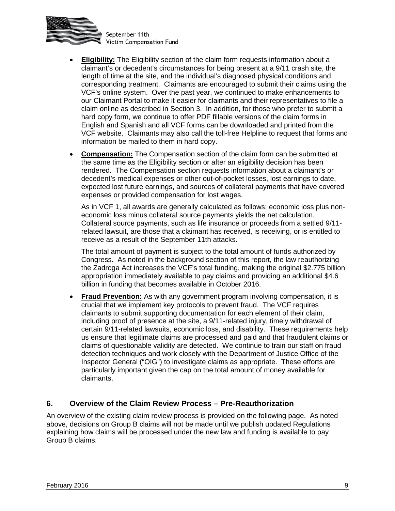

- **Eligibility:** The Eligibility section of the claim form requests information about a claimant's or decedent's circumstances for being present at a 9/11 crash site, the length of time at the site, and the individual's diagnosed physical conditions and corresponding treatment. Claimants are encouraged to submit their claims using the VCF's online system. Over the past year, we continued to make enhancements to our Claimant Portal to make it easier for claimants and their representatives to file a claim online as described in Section 3. In addition, for those who prefer to submit a hard copy form, we continue to offer PDF fillable versions of the claim forms in English and Spanish and all VCF forms can be downloaded and printed from the VCF website. Claimants may also call the toll-free Helpline to request that forms and information be mailed to them in hard copy.
- **Compensation:** The Compensation section of the claim form can be submitted at the same time as the Eligibility section or after an eligibility decision has been rendered. The Compensation section requests information about a claimant's or decedent's medical expenses or other out-of-pocket losses, lost earnings to date, expected lost future earnings, and sources of collateral payments that have covered expenses or provided compensation for lost wages.

As in VCF 1, all awards are generally calculated as follows: economic loss plus noneconomic loss minus collateral source payments yields the net calculation. Collateral source payments, such as life insurance or proceeds from a settled 9/11 related lawsuit, are those that a claimant has received, is receiving, or is entitled to receive as a result of the September 11th attacks.

The total amount of payment is subject to the total amount of funds authorized by Congress. As noted in the background section of this report, the law reauthorizing the Zadroga Act increases the VCF's total funding, making the original \$2.775 billion appropriation immediately available to pay claims and providing an additional \$4.6 billion in funding that becomes available in October 2016.

• **Fraud Prevention:** As with any government program involving compensation, it is crucial that we implement key protocols to prevent fraud. The VCF requires claimants to submit supporting documentation for each element of their claim, including proof of presence at the site, a 9/11-related injury, timely withdrawal of certain 9/11-related lawsuits, economic loss, and disability. These requirements help us ensure that legitimate claims are processed and paid and that fraudulent claims or claims of questionable validity are detected. We continue to train our staff on fraud detection techniques and work closely with the Department of Justice Office of the Inspector General ("OIG") to investigate claims as appropriate. These efforts are particularly important given the cap on the total amount of money available for claimants.

### **6. Overview of the Claim Review Process – Pre-Reauthorization**

An overview of the existing claim review process is provided on the following page. As noted above, decisions on Group B claims will not be made until we publish updated Regulations explaining how claims will be processed under the new law and funding is available to pay Group B claims.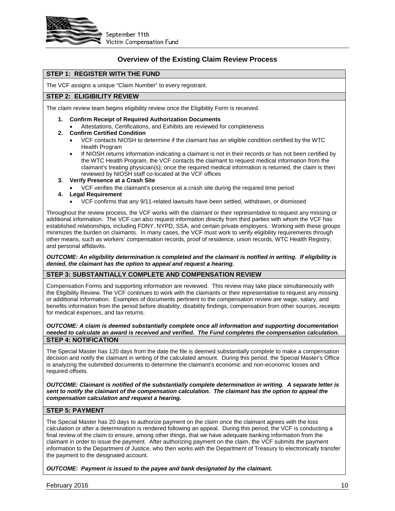

#### **Overview of the Existing Claim Review Process**

#### **STEP 1: REGISTER WITH THE FUND**

The VCF assigns a unique "Claim Number" to every registrant.

#### **STEP 2: ELIGIBILITY REVIEW**

The claim review team begins eligibility review once the Eligibility Form is received.

- **1. Confirm Receipt of Required Authorization Documents**
	- Attestations, Certifications, and Exhibits are reviewed for completeness
- **2. Confirm Certified Condition**
	- VCF contacts NIOSH to determine if the claimant has an eligible condition certified by the WTC Health Program
	- If NIOSH returns information indicating a claimant is not in their records or has not been certified by the WTC Health Program, the VCF contacts the claimant to request medical information from the claimant's treating physician(s); once the required medical information is returned, the claim is then reviewed by NIOSH staff co-located at the VCF offices
- **3. Verify Presence at a Crash Site**
	- VCF verifies the claimant's presence at a crash site during the required time period
- **4. Legal Requirement**
	- VCF confirms that any 9/11-related lawsuits have been settled, withdrawn, or dismissed

Throughout the review process, the VCF works with the claimant or their representative to request any missing or additional information. The VCF can also request information directly from third parties with whom the VCF has established relationships, including FDNY, NYPD, SSA, and certain private employers. Working with these groups minimizes the burden on claimants. In many cases, the VCF must work to verify eligibility requirements through other means, such as workers' compensation records, proof of residence, union records, WTC Health Registry, and personal affidavits.

*OUTCOME: An eligibility determination is completed and the claimant is notified in writing. If eligibility is denied, the claimant has the option to appeal and request a hearing.*

#### **STEP 3: SUBSTANTIALLY COMPLETE AND COMPENSATION REVIEW**

Compensation Forms and supporting information are reviewed. This review may take place simultaneously with the Eligibility Review. The VCF continues to work with the claimants or their representative to request any missing or additional information. Examples of documents pertinent to the compensation review are wage, salary, and benefits information from the period before disability, disability findings, compensation from other sources, receipts for medical expenses, and tax returns.

#### *OUTCOME: A claim is deemed substantially complete once all information and supporting documentation needed to calculate an award is received and verified. The Fund completes the compensation calculation.*  **STEP 4: NOTIFICATION**

The Special Master has 120 days from the date the file is deemed substantially complete to make a compensation decision and notify the claimant in writing of the calculated amount. During this period, the Special Master's Office is analyzing the submitted documents to determine the claimant's economic and non-economic losses and required offsets.

*OUTCOME: Claimant is notified of the substantially complete determination in writing. A separate letter is sent to notify the claimant of the compensation calculation. The claimant has the option to appeal the compensation calculation and request a hearing.*

#### **STEP 5: PAYMENT**

The Special Master has 20 days to authorize payment on the claim once the claimant agrees with the loss calculation or after a determination is rendered following an appeal. During this period, the VCF is conducting a final review of the claim to ensure, among other things, that we have adequate banking information from the claimant in order to issue the payment. After authorizing payment on the claim, the VCF submits the payment information to the Department of Justice, who then works with the Department of Treasury to electronically transfer the payment to the designated account.

*OUTCOME: Payment is issued to the payee and bank designated by the claimant.*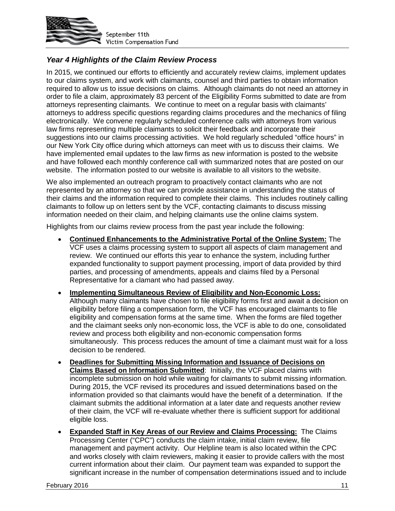

## *Year 4 Highlights of the Claim Review Process*

In 2015, we continued our efforts to efficiently and accurately review claims, implement updates to our claims system, and work with claimants, counsel and third parties to obtain information required to allow us to issue decisions on claims. Although claimants do not need an attorney in order to file a claim, approximately 83 percent of the Eligibility Forms submitted to date are from attorneys representing claimants. We continue to meet on a regular basis with claimants' attorneys to address specific questions regarding claims procedures and the mechanics of filing electronically. We convene regularly scheduled conference calls with attorneys from various law firms representing multiple claimants to solicit their feedback and incorporate their suggestions into our claims processing activities. We hold regularly scheduled "office hours" in our New York City office during which attorneys can meet with us to discuss their claims. We have implemented email updates to the law firms as new information is posted to the website and have followed each monthly conference call with summarized notes that are posted on our website. The information posted to our website is available to all visitors to the website.

We also implemented an outreach program to proactively contact claimants who are not represented by an attorney so that we can provide assistance in understanding the status of their claims and the information required to complete their claims. This includes routinely calling claimants to follow up on letters sent by the VCF, contacting claimants to discuss missing information needed on their claim, and helping claimants use the online claims system.

Highlights from our claims review process from the past year include the following:

- **Continued Enhancements to the Administrative Portal of the Online System:** The VCF uses a claims processing system to support all aspects of claim management and review. We continued our efforts this year to enhance the system, including further expanded functionality to support payment processing, import of data provided by third parties, and processing of amendments, appeals and claims filed by a Personal Representative for a clamant who had passed away.
- **Implementing Simultaneous Review of Eligibility and Non-Economic Loss:** Although many claimants have chosen to file eligibility forms first and await a decision on eligibility before filing a compensation form, the VCF has encouraged claimants to file eligibility and compensation forms at the same time. When the forms are filed together and the claimant seeks only non-economic loss, the VCF is able to do one, consolidated review and process both eligibility and non-economic compensation forms simultaneously. This process reduces the amount of time a claimant must wait for a loss decision to be rendered.
- **Deadlines for Submitting Missing Information and Issuance of Decisions on Claims Based on Information Submitted**: Initially, the VCF placed claims with incomplete submission on hold while waiting for claimants to submit missing information. During 2015, the VCF revised its procedures and issued determinations based on the information provided so that claimants would have the benefit of a determination. If the claimant submits the additional information at a later date and requests another review of their claim, the VCF will re-evaluate whether there is sufficient support for additional eligible loss.
- **Expanded Staff in Key Areas of our Review and Claims Processing:** The Claims Processing Center ("CPC") conducts the claim intake, initial claim review, file management and payment activity. Our Helpline team is also located within the CPC and works closely with claim reviewers, making it easier to provide callers with the most current information about their claim. Our payment team was expanded to support the significant increase in the number of compensation determinations issued and to include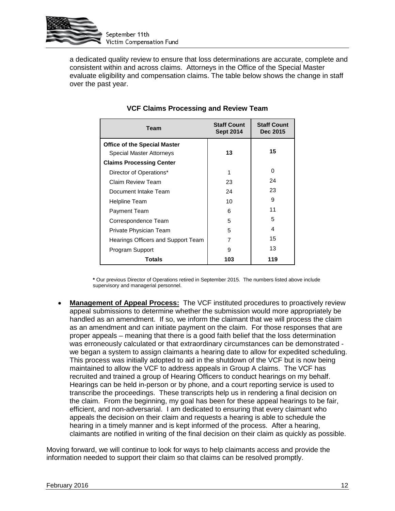

a dedicated quality review to ensure that loss determinations are accurate, complete and consistent within and across claims. Attorneys in the Office of the Special Master evaluate eligibility and compensation claims. The table below shows the change in staff over the past year.

| Team                                | <b>Staff Count</b><br><b>Sept 2014</b> | <b>Staff Count</b><br>Dec 2015 |
|-------------------------------------|----------------------------------------|--------------------------------|
| <b>Office of the Special Master</b> |                                        |                                |
| <b>Special Master Attorneys</b>     | 13                                     | 15                             |
| <b>Claims Processing Center</b>     |                                        |                                |
| Director of Operations*             | 1                                      | O                              |
| Claim Review Team                   | 23                                     | 24                             |
| Document Intake Team                | 24                                     | 23                             |
| Helpline Team                       | 10                                     | 9                              |
| Payment Team                        | 6                                      | 11                             |
| Correspondence Team                 | 5                                      | 5                              |
| Private Physician Team              | 5                                      | 4                              |
| Hearings Officers and Support Team  |                                        | 15                             |
| Program Support                     | 9                                      | 13                             |
| Totals                              | 103                                    | 119                            |

## **VCF Claims Processing and Review Team**

**\*** Our previous Director of Operations retired in September 2015.The numbers listed above include supervisory and managerial personnel.

• **Management of Appeal Process:** The VCF instituted procedures to proactively review appeal submissions to determine whether the submission would more appropriately be handled as an amendment. If so, we inform the claimant that we will process the claim as an amendment and can initiate payment on the claim. For those responses that are proper appeals – meaning that there is a good faith belief that the loss determination was erroneously calculated or that extraordinary circumstances can be demonstrated we began a system to assign claimants a hearing date to allow for expedited scheduling. This process was initially adopted to aid in the shutdown of the VCF but is now being maintained to allow the VCF to address appeals in Group A claims. The VCF has recruited and trained a group of Hearing Officers to conduct hearings on my behalf. Hearings can be held in-person or by phone, and a court reporting service is used to transcribe the proceedings. These transcripts help us in rendering a final decision on the claim. From the beginning, my goal has been for these appeal hearings to be fair, efficient, and non-adversarial. I am dedicated to ensuring that every claimant who appeals the decision on their claim and requests a hearing is able to schedule the hearing in a timely manner and is kept informed of the process. After a hearing, claimants are notified in writing of the final decision on their claim as quickly as possible.

Moving forward, we will continue to look for ways to help claimants access and provide the information needed to support their claim so that claims can be resolved promptly.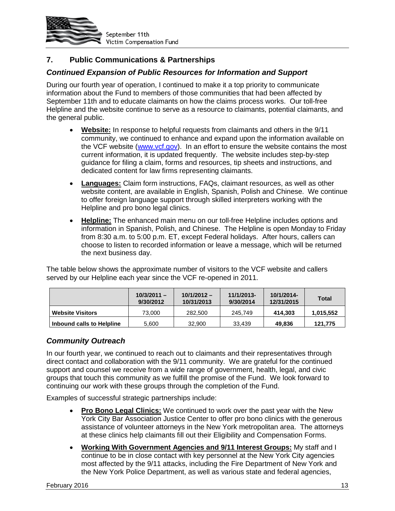

## **7. Public Communications & Partnerships**

### *Continued Expansion of Public Resources for Information and Support*

During our fourth year of operation, I continued to make it a top priority to communicate information about the Fund to members of those communities that had been affected by September 11th and to educate claimants on how the claims process works. Our toll-free Helpline and the website continue to serve as a resource to claimants, potential claimants, and the general public.

- **Website:** In response to helpful requests from claimants and others in the 9/11 community, we continued to enhance and expand upon the information available on the VCF website (www.vcf.gov). In an effort to ensure the website contains the most current information, it is updated frequently. The website includes step-by-step guidance for filing a claim, forms and resources, tip sheets and instructions, and dedicated content for law firms representing claimants.
- **Languages:** Claim form instructions, FAQs, claimant resources, as well as other website content, are available in English, Spanish, Polish and Chinese. We continue to offer foreign language support through skilled interpreters working with the Helpline and pro bono legal clinics.
- **Helpline:** The enhanced main menu on our toll-free Helpline includes options and information in Spanish, Polish, and Chinese. The Helpline is open Monday to Friday from 8:30 a.m. to 5:00 p.m. ET, except Federal holidays. After hours, callers can choose to listen to recorded information or leave a message, which will be returned the next business day.

The table below shows the approximate number of visitors to the VCF website and callers served by our Helpline each year since the VCF re-opened in 2011.

|                           | $10/3/2011 -$<br>9/30/2012 | $10/1/2012 -$<br>10/31/2013 | 11/1/2013-<br>9/30/2014 | 10/1/2014-<br>12/31/2015 | Total     |
|---------------------------|----------------------------|-----------------------------|-------------------------|--------------------------|-----------|
| <b>Website Visitors</b>   | 73,000                     | 282,500                     | 245.749                 | 414.303                  | 1,015,552 |
| Inbound calls to Helpline | 5,600                      | 32,900                      | 33.439                  | 49,836                   | 121.775   |

#### *Community Outreach*

In our fourth year, we continued to reach out to claimants and their representatives through direct contact and collaboration with the 9/11 community. We are grateful for the continued support and counsel we receive from a wide range of government, health, legal, and civic groups that touch this community as we fulfill the promise of the Fund. We look forward to continuing our work with these groups through the completion of the Fund.

Examples of successful strategic partnerships include:

- **Pro Bono Legal Clinics:** We continued to work over the past year with the New York City Bar Association Justice Center to offer pro bono clinics with the generous assistance of volunteer attorneys in the New York metropolitan area. The attorneys at these clinics help claimants fill out their Eligibility and Compensation Forms.
- **Working With Government Agencies and 9/11 Interest Groups:** My staff and I continue to be in close contact with key personnel at the New York City agencies most affected by the 9/11 attacks, including the Fire Department of New York and the New York Police Department, as well as various state and federal agencies,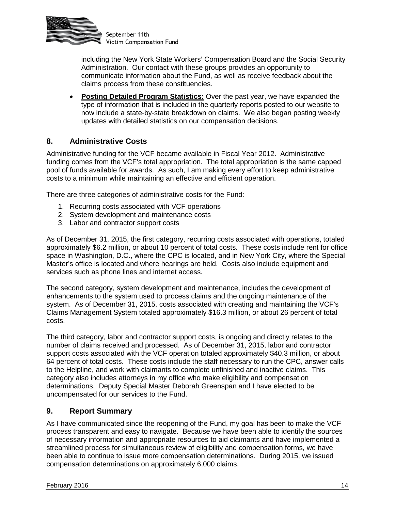

including the New York State Workers' Compensation Board and the Social Security Administration. Our contact with these groups provides an opportunity to communicate information about the Fund, as well as receive feedback about the claims process from these constituencies.

• **Posting Detailed Program Statistics:** Over the past year, we have expanded the type of information that is included in the quarterly reports posted to our website to now include a state-by-state breakdown on claims. We also began posting weekly updates with detailed statistics on our compensation decisions.

### **8. Administrative Costs**

Administrative funding for the VCF became available in Fiscal Year 2012. Administrative funding comes from the VCF's total appropriation. The total appropriation is the same capped pool of funds available for awards. As such, I am making every effort to keep administrative costs to a minimum while maintaining an effective and efficient operation.

There are three categories of administrative costs for the Fund:

- 1. Recurring costs associated with VCF operations
- 2. System development and maintenance costs
- 3. Labor and contractor support costs

As of December 31, 2015, the first category, recurring costs associated with operations, totaled approximately \$6.2 million, or about 10 percent of total costs. These costs include rent for office space in Washington, D.C., where the CPC is located, and in New York City, where the Special Master's office is located and where hearings are held. Costs also include equipment and services such as phone lines and internet access.

The second category, system development and maintenance, includes the development of enhancements to the system used to process claims and the ongoing maintenance of the system. As of December 31, 2015, costs associated with creating and maintaining the VCF's Claims Management System totaled approximately \$16.3 million, or about 26 percent of total costs.

The third category, labor and contractor support costs, is ongoing and directly relates to the number of claims received and processed. As of December 31, 2015, labor and contractor support costs associated with the VCF operation totaled approximately \$40.3 million, or about 64 percent of total costs. These costs include the staff necessary to run the CPC, answer calls to the Helpline, and work with claimants to complete unfinished and inactive claims. This category also includes attorneys in my office who make eligibility and compensation determinations. Deputy Special Master Deborah Greenspan and I have elected to be uncompensated for our services to the Fund.

### **9. Report Summary**

As I have communicated since the reopening of the Fund, my goal has been to make the VCF process transparent and easy to navigate. Because we have been able to identify the sources of necessary information and appropriate resources to aid claimants and have implemented a streamlined process for simultaneous review of eligibility and compensation forms, we have been able to continue to issue more compensation determinations. During 2015, we issued compensation determinations on approximately 6,000 claims.